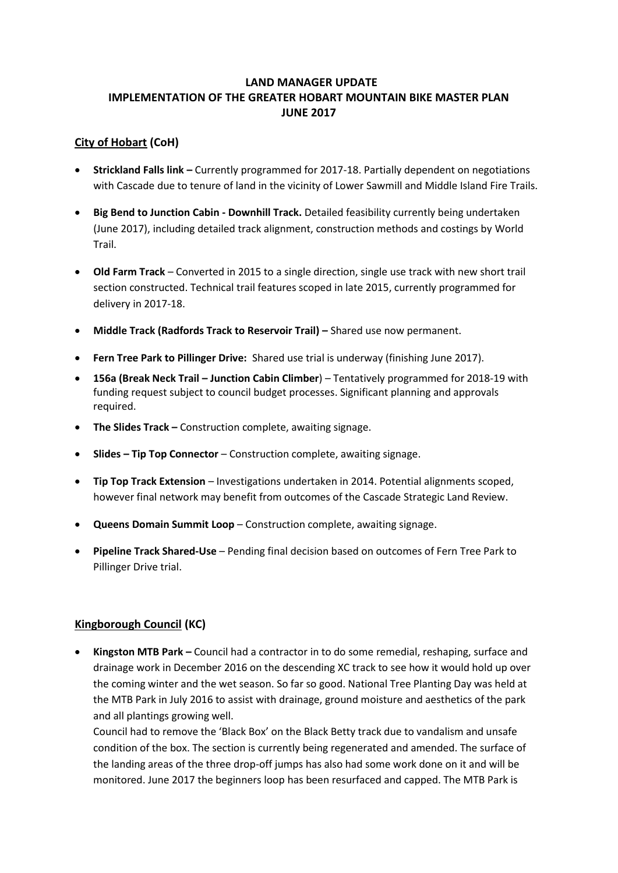# **LAND MANAGER UPDATE IMPLEMENTATION OF THE GREATER HOBART MOUNTAIN BIKE MASTER PLAN JUNE 2017**

### **City of Hobart (CoH)**

- **Strickland Falls link –** Currently programmed for 2017-18. Partially dependent on negotiations with Cascade due to tenure of land in the vicinity of Lower Sawmill and Middle Island Fire Trails.
- **Big Bend to Junction Cabin - Downhill Track.** Detailed feasibility currently being undertaken (June 2017), including detailed track alignment, construction methods and costings by World Trail.
- **Old Farm Track** Converted in 2015 to a single direction, single use track with new short trail section constructed. Technical trail features scoped in late 2015, currently programmed for delivery in 2017-18.
- **Middle Track (Radfords Track to Reservoir Trail) –** Shared use now permanent.
- **Fern Tree Park to Pillinger Drive:** Shared use trial is underway (finishing June 2017).
- **156a (Break Neck Trail – Junction Cabin Climber**) Tentatively programmed for 2018-19 with funding request subject to council budget processes. Significant planning and approvals required.
- **The Slides Track –** Construction complete, awaiting signage.
- **Slides – Tip Top Connector** Construction complete, awaiting signage.
- **Tip Top Track Extension**  Investigations undertaken in 2014. Potential alignments scoped, however final network may benefit from outcomes of the Cascade Strategic Land Review.
- **Queens Domain Summit Loop**  Construction complete, awaiting signage.
- **Pipeline Track Shared-Use** Pending final decision based on outcomes of Fern Tree Park to Pillinger Drive trial.

#### **Kingborough Council (KC)**

 **Kingston MTB Park –** Council had a contractor in to do some remedial, reshaping, surface and drainage work in December 2016 on the descending XC track to see how it would hold up over the coming winter and the wet season. So far so good. National Tree Planting Day was held at the MTB Park in July 2016 to assist with drainage, ground moisture and aesthetics of the park and all plantings growing well.

Council had to remove the 'Black Box' on the Black Betty track due to vandalism and unsafe condition of the box. The section is currently being regenerated and amended. The surface of the landing areas of the three drop-off jumps has also had some work done on it and will be monitored. June 2017 the beginners loop has been resurfaced and capped. The MTB Park is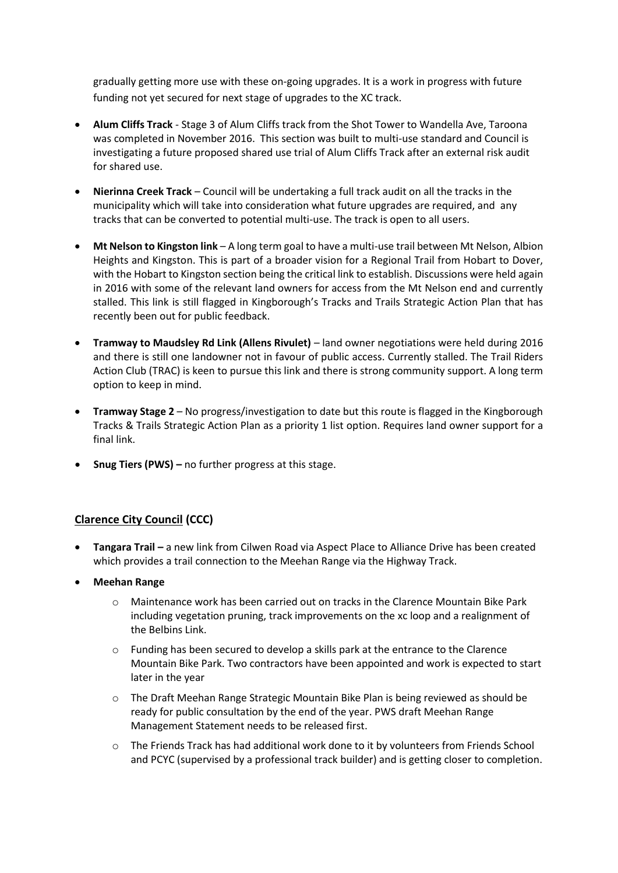gradually getting more use with these on-going upgrades. It is a work in progress with future funding not yet secured for next stage of upgrades to the XC track.

- **Alum Cliffs Track**  Stage 3 of Alum Cliffs track from the Shot Tower to Wandella Ave, Taroona was completed in November 2016. This section was built to multi-use standard and Council is investigating a future proposed shared use trial of Alum Cliffs Track after an external risk audit for shared use.
- **Nierinna Creek Track** Council will be undertaking a full track audit on all the tracks in the municipality which will take into consideration what future upgrades are required, and any tracks that can be converted to potential multi-use. The track is open to all users.
- **Mt Nelson to Kingston link** A long term goal to have a multi-use trail between Mt Nelson, Albion Heights and Kingston. This is part of a broader vision for a Regional Trail from Hobart to Dover, with the Hobart to Kingston section being the critical link to establish. Discussions were held again in 2016 with some of the relevant land owners for access from the Mt Nelson end and currently stalled. This link is still flagged in Kingborough's Tracks and Trails Strategic Action Plan that has recently been out for public feedback.
- **Tramway to Maudsley Rd Link (Allens Rivulet)** land owner negotiations were held during 2016 and there is still one landowner not in favour of public access. Currently stalled. The Trail Riders Action Club (TRAC) is keen to pursue this link and there is strong community support. A long term option to keep in mind.
- **Tramway Stage 2**  No progress/investigation to date but this route is flagged in the Kingborough Tracks & Trails Strategic Action Plan as a priority 1 list option. Requires land owner support for a final link.
- **Snug Tiers (PWS)** no further progress at this stage.

#### **Clarence City Council (CCC)**

- **Tangara Trail –** a new link from Cilwen Road via Aspect Place to Alliance Drive has been created which provides a trail connection to the Meehan Range via the Highway Track.
- **Meehan Range**
	- o Maintenance work has been carried out on tracks in the Clarence Mountain Bike Park including vegetation pruning, track improvements on the xc loop and a realignment of the Belbins Link.
	- o Funding has been secured to develop a skills park at the entrance to the Clarence Mountain Bike Park. Two contractors have been appointed and work is expected to start later in the year
	- o The Draft Meehan Range Strategic Mountain Bike Plan is being reviewed as should be ready for public consultation by the end of the year. PWS draft Meehan Range Management Statement needs to be released first.
	- o The Friends Track has had additional work done to it by volunteers from Friends School and PCYC (supervised by a professional track builder) and is getting closer to completion.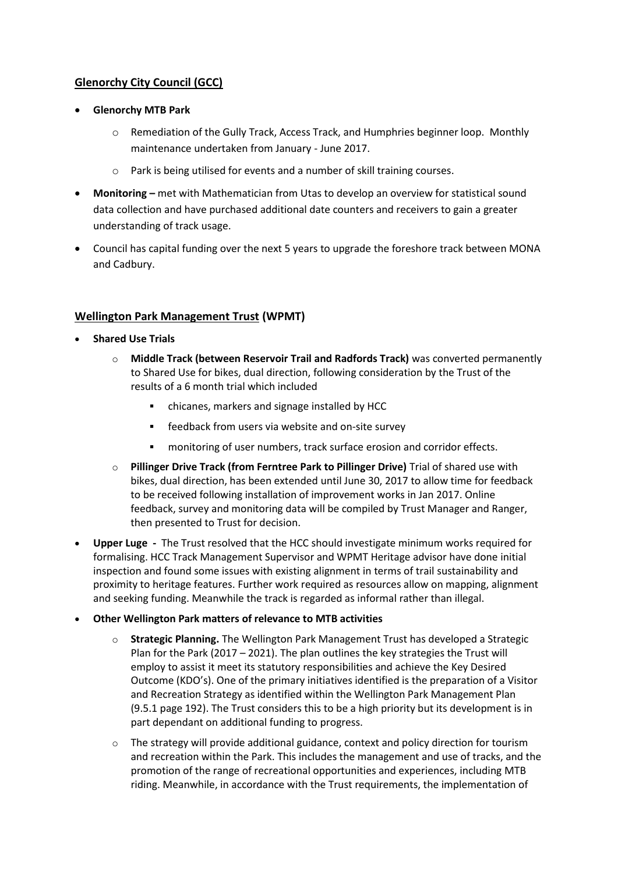# **Glenorchy City Council (GCC)**

- **Glenorchy MTB Park**
	- o Remediation of the Gully Track, Access Track, and Humphries beginner loop. Monthly maintenance undertaken from January - June 2017.
	- o Park is being utilised for events and a number of skill training courses.
- **•** Monitoring met with Mathematician from Utas to develop an overview for statistical sound data collection and have purchased additional date counters and receivers to gain a greater understanding of track usage.
- Council has capital funding over the next 5 years to upgrade the foreshore track between MONA and Cadbury.

# **Wellington Park Management Trust (WPMT)**

- **Shared Use Trials**
	- o **Middle Track (between Reservoir Trail and Radfords Track)** was converted permanently to Shared Use for bikes, dual direction, following consideration by the Trust of the results of a 6 month trial which included
		- chicanes, markers and signage installed by HCC
		- **Figure 1** feedback from users via website and on-site survey
		- monitoring of user numbers, track surface erosion and corridor effects.
	- o **Pillinger Drive Track (from Ferntree Park to Pillinger Drive)** Trial of shared use with bikes, dual direction, has been extended until June 30, 2017 to allow time for feedback to be received following installation of improvement works in Jan 2017. Online feedback, survey and monitoring data will be compiled by Trust Manager and Ranger, then presented to Trust for decision.
- **Upper Luge -** The Trust resolved that the HCC should investigate minimum works required for formalising. HCC Track Management Supervisor and WPMT Heritage advisor have done initial inspection and found some issues with existing alignment in terms of trail sustainability and proximity to heritage features. Further work required as resources allow on mapping, alignment and seeking funding. Meanwhile the track is regarded as informal rather than illegal.
- **Other Wellington Park matters of relevance to MTB activities** 
	- o **Strategic Planning.** The Wellington Park Management Trust has developed a Strategic Plan for the Park (2017 – 2021). The plan outlines the key strategies the Trust will employ to assist it meet its statutory responsibilities and achieve the Key Desired Outcome (KDO's). One of the primary initiatives identified is the preparation of a Visitor and Recreation Strategy as identified within the Wellington Park Management Plan (9.5.1 page 192). The Trust considers this to be a high priority but its development is in part dependant on additional funding to progress.
	- $\circ$  The strategy will provide additional guidance, context and policy direction for tourism and recreation within the Park. This includes the management and use of tracks, and the promotion of the range of recreational opportunities and experiences, including MTB riding. Meanwhile, in accordance with the Trust requirements, the implementation of